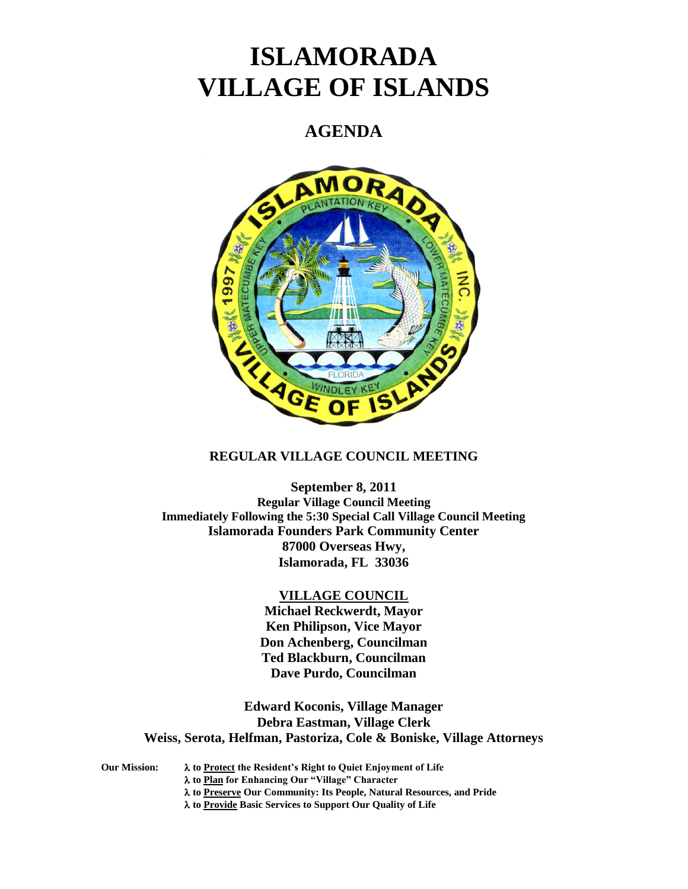# **ISLAMORADA VILLAGE OF ISLANDS**

# **AGENDA**



# **REGULAR VILLAGE COUNCIL MEETING**

**September 8, 2011 Regular Village Council Meeting Immediately Following the 5:30 Special Call Village Council Meeting Islamorada Founders Park Community Center 87000 Overseas Hwy, Islamorada, FL 33036**

## **VILLAGE COUNCIL**

**Michael Reckwerdt, Mayor Ken Philipson, Vice Mayor Don Achenberg, Councilman Ted Blackburn, Councilman Dave Purdo, Councilman**

**Edward Koconis, Village Manager Debra Eastman, Village Clerk Weiss, Serota, Helfman, Pastoriza, Cole & Boniske, Village Attorneys**

**Our Mission: to Protect the Resident's Right to Quiet Enjoyment of Life to Plan for Enhancing Our "Village" Character to Preserve Our Community: Its People, Natural Resources, and Pride to Provide Basic Services to Support Our Quality of Life**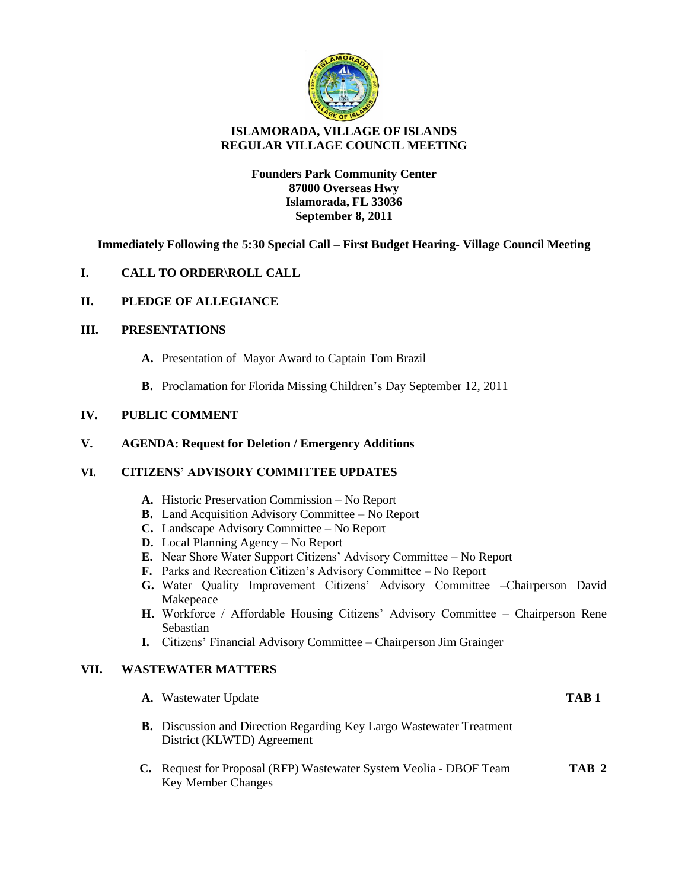

# **ISLAMORADA, VILLAGE OF ISLANDS REGULAR VILLAGE COUNCIL MEETING**

**Founders Park Community Center 87000 Overseas Hwy Islamorada, FL 33036 September 8, 2011**

**Immediately Following the 5:30 Special Call – First Budget Hearing- Village Council Meeting** 

# **I. CALL TO ORDER\ROLL CALL**

## **II. PLEDGE OF ALLEGIANCE**

#### **III. PRESENTATIONS**

- **A.** Presentation of Mayor Award to Captain Tom Brazil
- **B.** Proclamation for Florida Missing Children's Day September 12, 2011

# **IV. PUBLIC COMMENT**

#### **V. AGENDA: Request for Deletion / Emergency Additions**

## **VI. CITIZENS' ADVISORY COMMITTEE UPDATES**

- **A.** Historic Preservation Commission No Report
- **B.** Land Acquisition Advisory Committee No Report
- **C.** Landscape Advisory Committee No Report
- **D.** Local Planning Agency No Report
- **E.** Near Shore Water Support Citizens' Advisory Committee No Report
- **F.** Parks and Recreation Citizen's Advisory Committee No Report
- **G.** Water Quality Improvement Citizens' Advisory Committee –Chairperson David Makepeace
- **H.** Workforce / Affordable Housing Citizens' Advisory Committee Chairperson Rene Sebastian
- **I.** Citizens' Financial Advisory Committee Chairperson Jim Grainger

### **VII. WASTEWATER MATTERS**

|    | <b>A.</b> Wastewater Update                                                                               | TAB <sub>1</sub> |
|----|-----------------------------------------------------------------------------------------------------------|------------------|
|    | <b>B.</b> Discussion and Direction Regarding Key Largo Wastewater Treatment<br>District (KLWTD) Agreement |                  |
| C. | Request for Proposal (RFP) Wastewater System Veolia - DBOF Team<br><b>Key Member Changes</b>              | TAB <sub>2</sub> |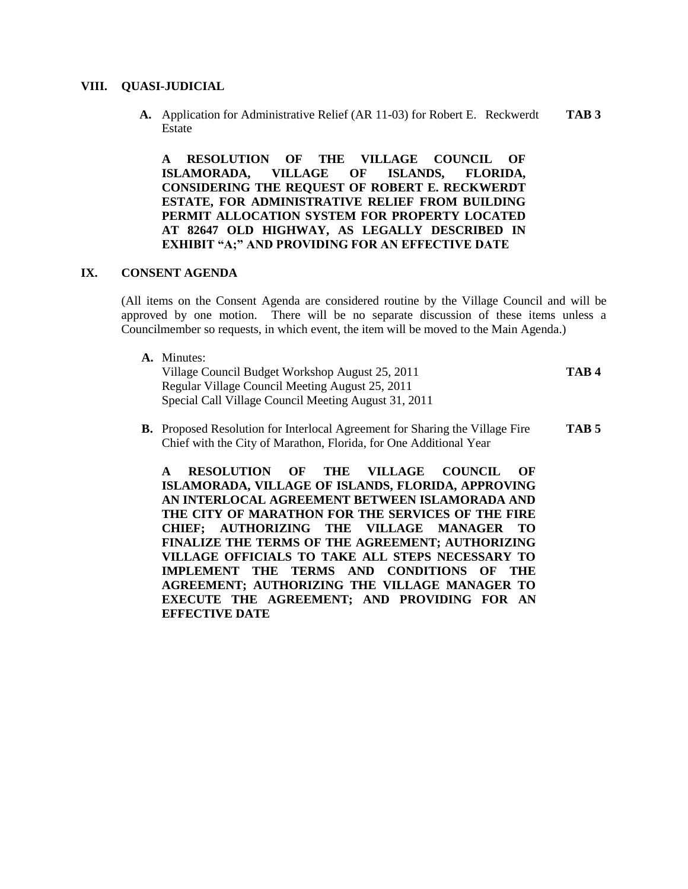#### **VIII. QUASI-JUDICIAL**

**A.** Application for Administrative Relief (AR 11-03) for Robert E. Reckwerdt **TAB 3** Estate

**A RESOLUTION OF THE VILLAGE COUNCIL OF ISLAMORADA, VILLAGE OF ISLANDS, FLORIDA, CONSIDERING THE REQUEST OF ROBERT E. RECKWERDT ESTATE, FOR ADMINISTRATIVE RELIEF FROM BUILDING PERMIT ALLOCATION SYSTEM FOR PROPERTY LOCATED AT 82647 OLD HIGHWAY, AS LEGALLY DESCRIBED IN EXHIBIT "A;" AND PROVIDING FOR AN EFFECTIVE DATE**

## **IX. CONSENT AGENDA**

(All items on the Consent Agenda are considered routine by the Village Council and will be approved by one motion. There will be no separate discussion of these items unless a Councilmember so requests, in which event, the item will be moved to the Main Agenda.)

- **A.** Minutes: Village Council Budget Workshop August 25, 2011 **TAB 4** Regular Village Council Meeting August 25, 2011 Special Call Village Council Meeting August 31, 2011
- **B.** Proposed Resolution for Interlocal Agreement for Sharing the Village Fire **TAB 5** Chief with the City of Marathon, Florida, for One Additional Year

**A RESOLUTION OF THE VILLAGE COUNCIL OF ISLAMORADA, VILLAGE OF ISLANDS, FLORIDA, APPROVING AN INTERLOCAL AGREEMENT BETWEEN ISLAMORADA AND THE CITY OF MARATHON FOR THE SERVICES OF THE FIRE CHIEF; AUTHORIZING THE VILLAGE MANAGER TO FINALIZE THE TERMS OF THE AGREEMENT; AUTHORIZING VILLAGE OFFICIALS TO TAKE ALL STEPS NECESSARY TO IMPLEMENT THE TERMS AND CONDITIONS OF THE AGREEMENT; AUTHORIZING THE VILLAGE MANAGER TO EXECUTE THE AGREEMENT; AND PROVIDING FOR AN EFFECTIVE DATE**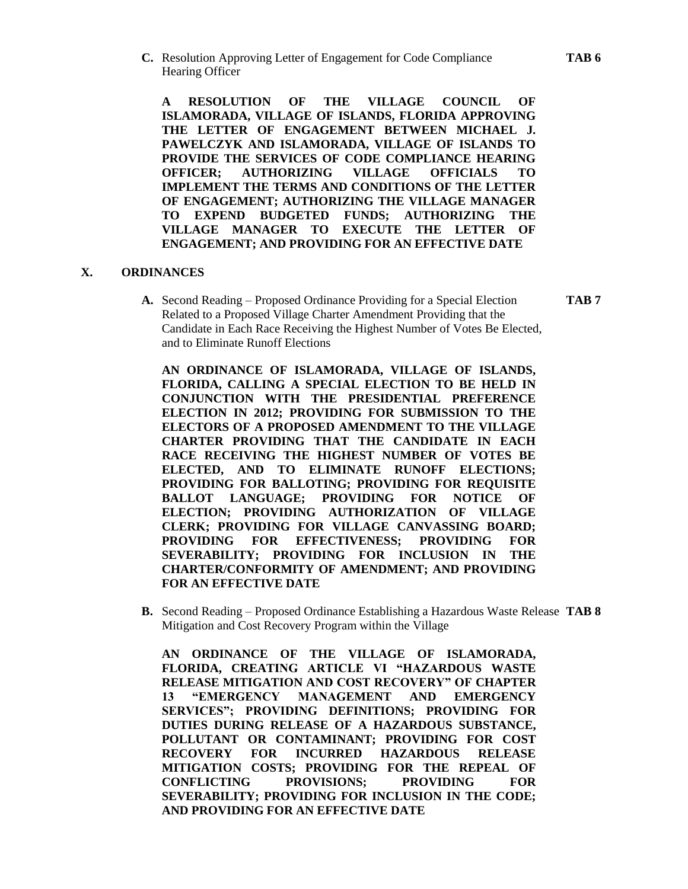**C.** Resolution Approving Letter of Engagement for Code Compliance **TAB 6** Hearing Officer

**A RESOLUTION OF THE VILLAGE COUNCIL OF ISLAMORADA, VILLAGE OF ISLANDS, FLORIDA APPROVING THE LETTER OF ENGAGEMENT BETWEEN MICHAEL J. PAWELCZYK AND ISLAMORADA, VILLAGE OF ISLANDS TO PROVIDE THE SERVICES OF CODE COMPLIANCE HEARING OFFICER; AUTHORIZING VILLAGE OFFICIALS TO IMPLEMENT THE TERMS AND CONDITIONS OF THE LETTER OF ENGAGEMENT; AUTHORIZING THE VILLAGE MANAGER TO EXPEND BUDGETED FUNDS; AUTHORIZING THE VILLAGE MANAGER TO EXECUTE THE LETTER OF ENGAGEMENT; AND PROVIDING FOR AN EFFECTIVE DATE**

# **X. ORDINANCES**

**A.** Second Reading – Proposed Ordinance Providing for a Special Election **TAB 7** Related to a Proposed Village Charter Amendment Providing that the Candidate in Each Race Receiving the Highest Number of Votes Be Elected, and to Eliminate Runoff Elections

**AN ORDINANCE OF ISLAMORADA, VILLAGE OF ISLANDS, FLORIDA, CALLING A SPECIAL ELECTION TO BE HELD IN CONJUNCTION WITH THE PRESIDENTIAL PREFERENCE ELECTION IN 2012; PROVIDING FOR SUBMISSION TO THE ELECTORS OF A PROPOSED AMENDMENT TO THE VILLAGE CHARTER PROVIDING THAT THE CANDIDATE IN EACH RACE RECEIVING THE HIGHEST NUMBER OF VOTES BE ELECTED, AND TO ELIMINATE RUNOFF ELECTIONS; PROVIDING FOR BALLOTING; PROVIDING FOR REQUISITE BALLOT LANGUAGE; PROVIDING FOR NOTICE OF ELECTION; PROVIDING AUTHORIZATION OF VILLAGE CLERK; PROVIDING FOR VILLAGE CANVASSING BOARD; PROVIDING FOR EFFECTIVENESS; PROVIDING FOR SEVERABILITY; PROVIDING FOR INCLUSION IN THE CHARTER/CONFORMITY OF AMENDMENT; AND PROVIDING FOR AN EFFECTIVE DATE**

**B.** Second Reading – Proposed Ordinance Establishing a Hazardous Waste Release **TAB 8** Mitigation and Cost Recovery Program within the Village

**AN ORDINANCE OF THE VILLAGE OF ISLAMORADA, FLORIDA, CREATING ARTICLE VI "HAZARDOUS WASTE RELEASE MITIGATION AND COST RECOVERY" OF CHAPTER 13 "EMERGENCY MANAGEMENT AND EMERGENCY SERVICES"; PROVIDING DEFINITIONS; PROVIDING FOR DUTIES DURING RELEASE OF A HAZARDOUS SUBSTANCE, POLLUTANT OR CONTAMINANT; PROVIDING FOR COST RECOVERY FOR INCURRED HAZARDOUS RELEASE MITIGATION COSTS; PROVIDING FOR THE REPEAL OF CONFLICTING PROVISIONS; PROVIDING FOR SEVERABILITY; PROVIDING FOR INCLUSION IN THE CODE; AND PROVIDING FOR AN EFFECTIVE DATE**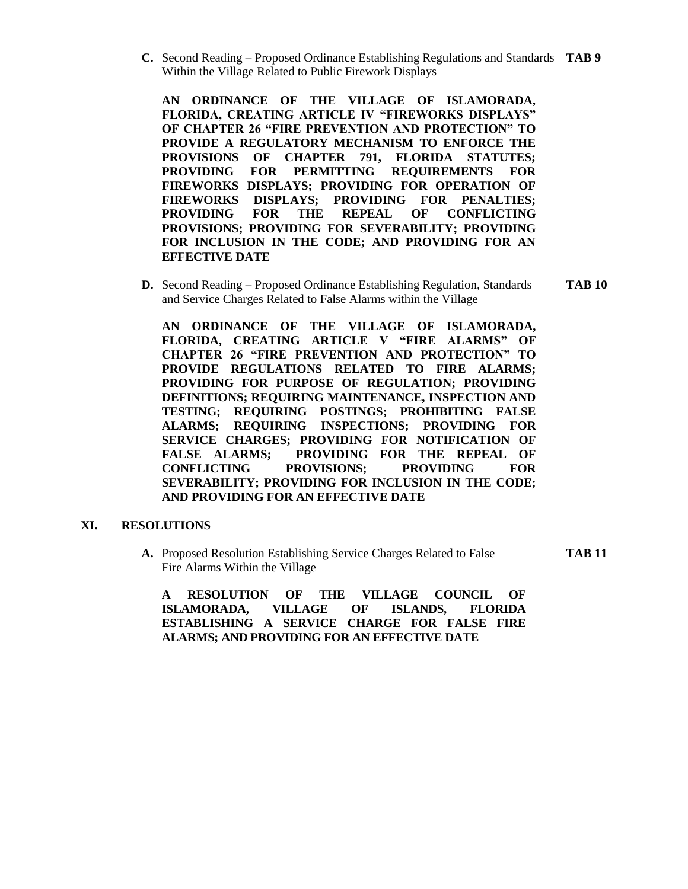**C.** Second Reading – Proposed Ordinance Establishing Regulations and Standards **TAB 9** Within the Village Related to Public Firework Displays

**AN ORDINANCE OF THE VILLAGE OF ISLAMORADA, FLORIDA, CREATING ARTICLE IV "FIREWORKS DISPLAYS" OF CHAPTER 26 "FIRE PREVENTION AND PROTECTION" TO PROVIDE A REGULATORY MECHANISM TO ENFORCE THE PROVISIONS OF CHAPTER 791, FLORIDA STATUTES; PROVIDING FOR PERMITTING REQUIREMENTS FOR FIREWORKS DISPLAYS; PROVIDING FOR OPERATION OF FIREWORKS DISPLAYS; PROVIDING FOR PENALTIES; PROVIDING FOR THE REPEAL OF CONFLICTING PROVISIONS; PROVIDING FOR SEVERABILITY; PROVIDING FOR INCLUSION IN THE CODE; AND PROVIDING FOR AN EFFECTIVE DATE**

**D.** Second Reading – Proposed Ordinance Establishing Regulation, Standards **TAB 10** and Service Charges Related to False Alarms within the Village

**AN ORDINANCE OF THE VILLAGE OF ISLAMORADA, FLORIDA, CREATING ARTICLE V "FIRE ALARMS" OF CHAPTER 26 "FIRE PREVENTION AND PROTECTION" TO PROVIDE REGULATIONS RELATED TO FIRE ALARMS; PROVIDING FOR PURPOSE OF REGULATION; PROVIDING DEFINITIONS; REQUIRING MAINTENANCE, INSPECTION AND TESTING; REQUIRING POSTINGS; PROHIBITING FALSE ALARMS; REQUIRING INSPECTIONS; PROVIDING FOR SERVICE CHARGES; PROVIDING FOR NOTIFICATION OF FALSE ALARMS; PROVIDING FOR THE REPEAL OF CONFLICTING PROVISIONS; PROVIDING FOR SEVERABILITY; PROVIDING FOR INCLUSION IN THE CODE; AND PROVIDING FOR AN EFFECTIVE DATE**

#### **XI. RESOLUTIONS**

**A.** Proposed Resolution Establishing Service Charges Related to False **TAB 11** Fire Alarms Within the Village

**A RESOLUTION OF THE VILLAGE COUNCIL OF ISLAMORADA, VILLAGE OF ISLANDS, FLORIDA ESTABLISHING A SERVICE CHARGE FOR FALSE FIRE ALARMS; AND PROVIDING FOR AN EFFECTIVE DATE**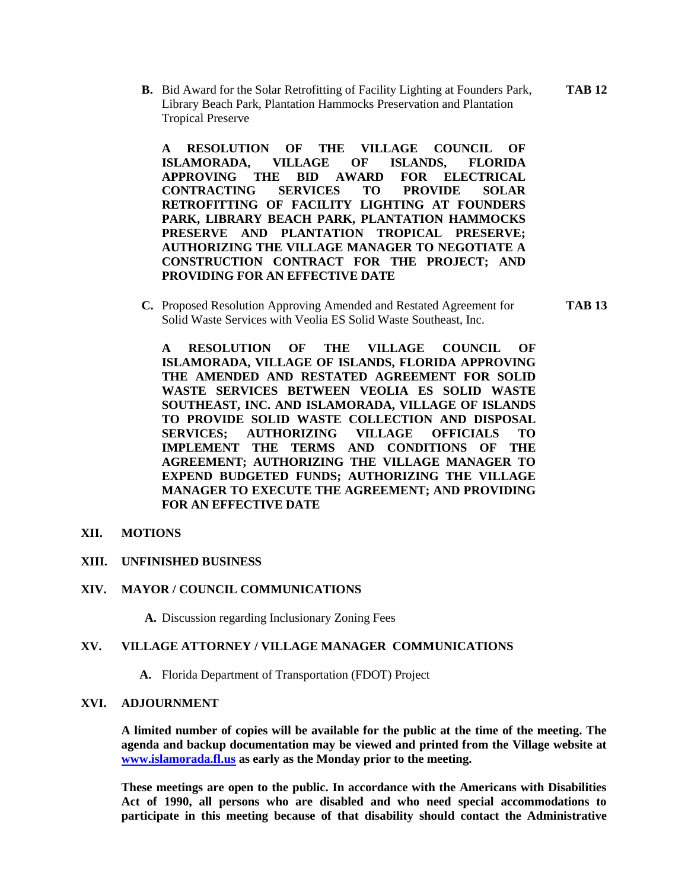**B.** Bid Award for the Solar Retrofitting of Facility Lighting at Founders Park, **TAB 12** Library Beach Park, Plantation Hammocks Preservation and Plantation Tropical Preserve

**A RESOLUTION OF THE VILLAGE COUNCIL OF ISLAMORADA, VILLAGE OF ISLANDS, FLORIDA APPROVING THE BID AWARD FOR ELECTRICAL CONTRACTING SERVICES TO PROVIDE SOLAR RETROFITTING OF FACILITY LIGHTING AT FOUNDERS PARK, LIBRARY BEACH PARK, PLANTATION HAMMOCKS PRESERVE AND PLANTATION TROPICAL PRESERVE; AUTHORIZING THE VILLAGE MANAGER TO NEGOTIATE A CONSTRUCTION CONTRACT FOR THE PROJECT; AND PROVIDING FOR AN EFFECTIVE DATE**

**C.** Proposed Resolution Approving Amended and Restated Agreement for **TAB 13** Solid Waste Services with Veolia ES Solid Waste Southeast, Inc.

**A RESOLUTION OF THE VILLAGE COUNCIL OF ISLAMORADA, VILLAGE OF ISLANDS, FLORIDA APPROVING THE AMENDED AND RESTATED AGREEMENT FOR SOLID WASTE SERVICES BETWEEN VEOLIA ES SOLID WASTE SOUTHEAST, INC. AND ISLAMORADA, VILLAGE OF ISLANDS TO PROVIDE SOLID WASTE COLLECTION AND DISPOSAL SERVICES; AUTHORIZING VILLAGE OFFICIALS TO IMPLEMENT THE TERMS AND CONDITIONS OF THE AGREEMENT; AUTHORIZING THE VILLAGE MANAGER TO EXPEND BUDGETED FUNDS; AUTHORIZING THE VILLAGE MANAGER TO EXECUTE THE AGREEMENT; AND PROVIDING FOR AN EFFECTIVE DATE**

**XII. MOTIONS**

## **XIII. UNFINISHED BUSINESS**

#### **XIV. MAYOR / COUNCIL COMMUNICATIONS**

**A.** Discussion regarding Inclusionary Zoning Fees

#### **XV. VILLAGE ATTORNEY / VILLAGE MANAGER COMMUNICATIONS**

**A.** Florida Department of Transportation (FDOT) Project

#### **XVI. ADJOURNMENT**

**A limited number of copies will be available for the public at the time of the meeting. The agenda and backup documentation may be viewed and printed from the Village website at [www.islamorada.fl.us](http://www.islamorada.fl.us/) as early as the Monday prior to the meeting.**

**These meetings are open to the public. In accordance with the Americans with Disabilities Act of 1990, all persons who are disabled and who need special accommodations to participate in this meeting because of that disability should contact the Administrative**